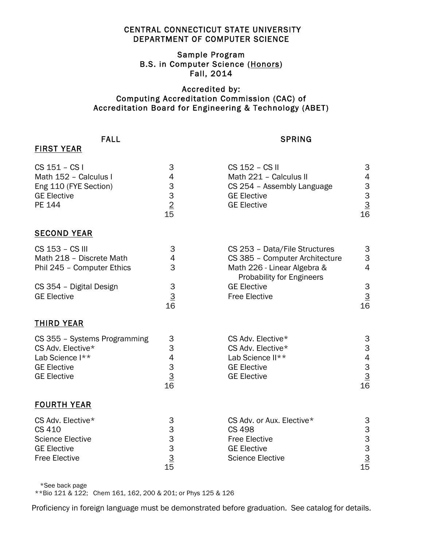## CENTRAL CONNECTICUT STATE UNIVERSITY DEPARTMENT OF COMPUTER SCIENCE

## Sample Program B.S. in Computer Science (Honors) Fall, 2014

## Accredited by: Computing Accreditation Commission (CAC) of Accreditation Board for Engineering & Technology (ABET)

## FALL SPRING

|  | - 11<br>Ξ1<br>ı |  |  | . .<br>a |  |  | <u>. на п</u> |  | ч |  |
|--|-----------------|--|--|----------|--|--|---------------|--|---|--|
|--|-----------------|--|--|----------|--|--|---------------|--|---|--|

| CS 151 - CS I<br>Math 152 - Calculus I<br>Eng 110 (FYE Section)<br><b>GE Elective</b><br>PE 144                  | 3<br>4<br>$\begin{array}{c}\n3 \\ 3 \\ 2 \\ \hline\n15\n\end{array}$               | CS 152 - CS II<br>Math 221 - Calculus II<br>CS 254 - Assembly Language<br><b>GE Elective</b><br><b>GE Elective</b>          | 3<br>$\overline{4}$<br>$\begin{array}{c}\n 3 \\  3 \\  \underline{3} \\  16\n \end{array}$       |
|------------------------------------------------------------------------------------------------------------------|------------------------------------------------------------------------------------|-----------------------------------------------------------------------------------------------------------------------------|--------------------------------------------------------------------------------------------------|
| <b>SECOND YEAR</b>                                                                                               |                                                                                    |                                                                                                                             |                                                                                                  |
| CS 153 - CS III<br>Math 218 - Discrete Math<br>Phil 245 - Computer Ethics                                        | 3<br>4<br>3                                                                        | CS 253 - Data/File Structures<br>CS 385 - Computer Architecture<br>Math 226 - Linear Algebra &<br>Probability for Engineers | 3<br>3<br>$\overline{4}$                                                                         |
| CS 354 - Digital Design<br><b>GE Elective</b>                                                                    | $\ensuremath{\mathsf{3}}$<br>$\frac{3}{16}$                                        | <b>GE Elective</b><br><b>Free Elective</b>                                                                                  | $\mathbf{3}$<br>$\frac{3}{16}$                                                                   |
| <b>THIRD YEAR</b>                                                                                                |                                                                                    |                                                                                                                             |                                                                                                  |
| CS 355 - Systems Programming<br>CS Adv. Elective*<br>Lab Science I**<br><b>GE Elective</b><br><b>GE Elective</b> | 3<br>$\ensuremath{\mathsf{3}}$<br>$\begin{array}{c} 4 \\ 3 \\ 3 \end{array}$<br>16 | CS Adv. Elective*<br>CS Adv. Elective*<br>Lab Science II**<br><b>GE Elective</b><br><b>GE Elective</b>                      | 3<br>$\ensuremath{\mathsf{3}}$<br>$\begin{array}{c}\n4 \\ 3 \\ \underline{3} \\ 16\n\end{array}$ |
| <b>FOURTH YEAR</b>                                                                                               |                                                                                    |                                                                                                                             |                                                                                                  |
| CS Adv. Elective*<br>CS 410<br><b>Science Elective</b><br><b>GE Elective</b><br><b>Free Elective</b>             | 3<br>$\begin{array}{c}\n 3 \\  3 \\  \underline{3} \\  15\n \end{array}$           | CS Adv. or Aux. Elective*<br><b>CS 498</b><br><b>Free Elective</b><br><b>GE Elective</b><br><b>Science Elective</b>         | $\frac{3}{15}$ $\frac{3}{15}$                                                                    |

\*See back page

\*\*Bio 121 & 122; Chem 161, 162, 200 & 201; or Phys 125 & 126

Proficiency in foreign language must be demonstrated before graduation. See catalog for details.